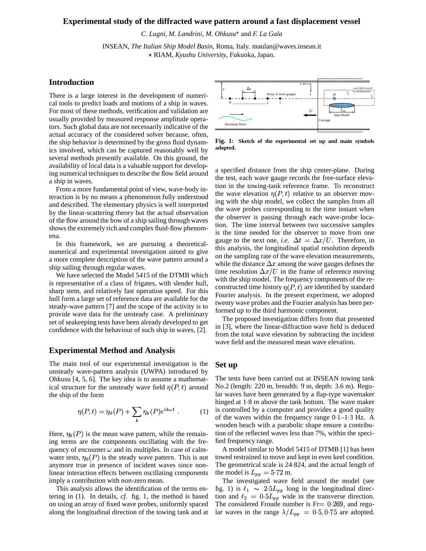#### **Experimental study of the diffracted wave pattern around a fast displacement vessel**

*C. Lugni*, *M. Landrini*, *M. Ohkusu* and *F. La Gala*

INSEAN, *The Italian Ship Model Basin*, Roma, Italy. maulan@waves.insean.it RIAM, *Kyushu University*, Fukuoka, Japan.

## **Introduction**

There is a large interest in the development of numerical tools to predict loads and motions of a ship in waves. For most of these methods, verification and validation are usually provided by measured response amplitude operators. Such global data are not necessarily indicative of the actual accuracy of the considered solver because, often, the ship behavior is determined by the gross fluid dynamics involved, which can be captured reasonably well by several methods presently available. On this ground, the availability of local data is a valuable support for developing numerical techniques to describe the flow field around a ship in waves.

From a more fundamental point of view, wave-body interaction is by no means a phenomenon fully understood and described. The elementary physics is well interpreted by the linear-scattering theory but the actual observation of the flow around the bow of a ship sailing through waves shows the extremely rich and complex fluid-flow phenomena.

In this framework, we are pursuing a theoreticalnumerical and experimental investigation aimed to give a more complete description of the wave pattern around a ship sailing through regular waves.

We have selected the Model 5415 of the DTMB which is representative of a class of frigates, with slender hull, sharp stem, and relatively fast operation speed. For this hull form a large set of reference data are available for the steady-wave pattern [7] and the scope of the activity is to provide wave data for the unsteady case. A preliminary set of seakeeping tests have been already developed to get confidence with the behaviour of such ship in waves, [2].

#### **Experimental Method and Analysis**

The main tool of our experimental investigation is the unsteady wave-pattern analysis (UWPA) introduced by Ohkusu [4, 5, 6]. The key idea is to assume a mathematical structure for the unsteady wave field  $\eta(P, t)$  around the ship of the form

$$
\eta(P, t) = \eta_0(P) + \sum_k \eta_k(P)e^{ik\omega t} . \tag{1}
$$

Here,  $\eta_0(P)$  is the mean wave pattern, while the remaining terms are the components oscillating with the frequency of encounter  $\omega$  and its multiples. In case of calmwater tests,  $\eta_0(P)$  is the steady wave pattern. This is not anymore true in presence of incident waves since nonlinear interaction effects between oscillating components imply a contribution with non-zero mean.

This analysis allows the identification of the terms entering in (1). In details, *cf.* fig. 1, the method is based on using an array of fixed wave probes, uniformly spaced along the longitudinal direction of the towing tank and at



**Fig. 1: Sketch of the experimental set up and main symbols adopted.**

a specified distance from the ship center-plane. During the test, each wave gauge records the free-surface elevation in the towing-tank reference frame. To reconstruct the wave elevation  $\eta(P, t)$  relative to an observer moving with the ship model, we collect the samples from all the wave probes corresponding to the time instant when the observer is passing through each wave-probe location. The time interval between two successive samples is the time needed for the observer to move from one gauge to the next one, *i.e.*  $\Delta t = \Delta x/U$ . Therefore, in this analysis, the longitudinal spatial resolution depends on the sampling rate of the wave elevation measurements, while the distance  $\Delta x$  among the wave gauges defines the time resolution  $\Delta x/U$  in the frame of reference moving with the ship model. The frequency components of the reconstructed time history  $\eta(P, t)$  are identified by standard Fourier analysis. In the present experiment, we adopted twenty wave probes and the Fourier analysis has been performed up to the third harmonic component.

The proposed investigation differs from that presented in [3], where the linear-diffraction wave field is deduced from the total wave elevation by subtracting the incident wave field and the measured mean wave elevation.

## **Set up**

The tests have been carried out at INSEAN towing tank No.2 (length: 220 m, breadth: 9 m, depth: 3.6 m). Regular waves have been generated by a flap-type wavemaker hinged at 1.8 m above the tank bottom. The wave maker is controlled by a computer and provides a good quality of the waves within the frequency range  $0.1-1.3$  Hz. A wooden beach with a parabolic shape ensure a contribution of the reflected waves less than 7%, within the specified frequency range.

A model similar to Model 5415 of DTMB [1] has been towed restrained to move and kept in even keel condition. The geometrical scale is 24.824, and the actual length of the model is  $L_{pp} = 5.72$  m.

The investigated wave field around the model (see fig. 1) is  $\ell_1 \sim 2.5L_{pp}$  long in the longitudinal direction and  $\ell_2 = 0.5L_{pp}$  wide in the transverse direction. The considered Froude number is  $Fr = 0.269$ , and regular waves in the range  $\lambda/L_{pp} = 0.5, 0.75$  are adopted.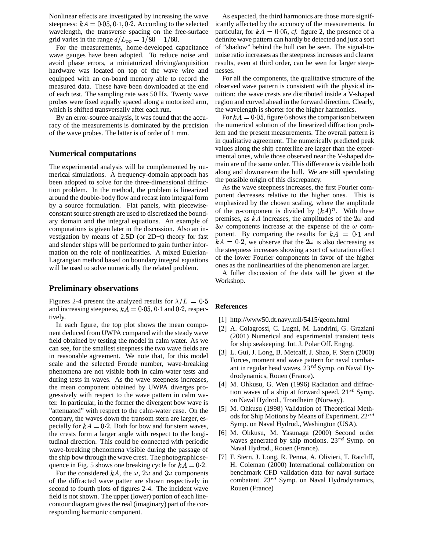Nonlinear effects are investigated by increasing the wave steepness:  $kA = 0.05, 0.1, 0.2$ . According to the selected wavelength, the transverse spacing on the free-surface grid varies in the range  $\delta / L_{pp} = 1/80 - 1/60$ .

For the measurements, home-developed capacitance wave gauges have been adopted. To reduce noise and avoid phase errors, a miniaturized driving/acquisition hardware was located on top of the wave wire and equipped with an on-board memory able to record the measured data. These have been downloaded at the end of each test. The sampling rate was 50 Hz. Twenty wave probes were fixed equally spaced along a motorized arm, which is shifted transversally after each run.

By an error-source analysis, it was found that the accuracy of the measurements is dominated by the precision of the wave probes. The latter is of order of 1 mm.

# **Numerical computations**

The experimental analysis will be complemented by numerical simulations. A frequency-domain approach has been adopted to solve for the three-dimensional diffraction problem. In the method, the problem is linearized around the double-body flow and recast into integral form by a source formulation. Flat panels, with piecewiseconstant source strength are used to discretized the boundary domain and the integral equations. An example of computations is given later in the discussion. Also an investigation by means of 2.5D (or 2D+t) theory for fast and slender ships will be performed to gain further information on the role of nonlinearities. A mixed Eulerian-Lagrangian method based on boundary integral equations will be used to solve numerically the related problem.

## **Preliminary observations**

Figures 2-4 present the analyzed results for  $\lambda/L = 0.5$ and increasing steepness,  $kA = 0.05, 0.1$  and 0.2, respectively.

In each figure, the top plot shows the mean component deduced from UWPA compared with the steady wave field obtained by testing the model in calm water. As we can see, for the smallest steepness the two wave fields are in reasonable agreement. We note that, for this model scale and the selected Froude number, wave-breaking phenomena are not visible both in calm-water tests and during tests in waves. As the wave steepness increases, the mean component obtained by UWPA diverges progressively with respect to the wave pattern in calm water. In particular, in the former the divergent bow wave is "attenuated" with respect to the calm-water case. On the contrary, the waves down the transom stern are larger, especially for  $kA = 0.2$ . Both for bow and for stern waves, the crests form a larger angle with respect to the longitudinal direction. This could be connected with periodic wave-breaking phenomena visible during the passage of the ship bow through the wave crest. The photographic sequence in Fig. 5 shows one breaking cycle for  $kA = 0.2$ .

For the considered kA, the  $\omega$ ,  $2\omega$  and  $3\omega$  components of the diffracted wave patter are shown respectively in second to fourth plots of figures 2-4. The incident wave field is not shown. The upper (lower) portion of each linecontour diagram gives the real (imaginary) part of the corresponding harmonic component.

As expected, the third harmonics are those more significantly affected by the accuracy of the measurements. In particular, for  $kA = 0.05$ , *cf.* figure 2, the presence of a definite wave pattern can hardly be detected and just a sort of "shadow" behind the hull can be seen. The signal-tonoise ratio increases as the steepness increases and clearer results, even at third order, can be seen for larger steepnesses.

For all the components, the qualitative structure of the observed wave pattern is consistent with the physical intuition: the wave crests are distributed inside a V-shaped region and curved ahead in the forward direction. Clearly, the wavelength is shorter for the higher harmonics.

For  $kA = 0.05$ , figure 6 shows the comparison between the numerical solution of the linearized diffraction problem and the present measurements. The overall pattern is in qualitative agreement. The numerically predicted peak values along the ship centerline are larger than the experimental ones, while those observed near the V-shaped domain are of the same order. This difference is visible both along and downstream the hull. We are still speculating the possible origin of this discrepancy.

As the wave steepness increases, the first Fourier component decreases relative to the higher ones. This is emphasized by the chosen scaling, where the amplitude of the *n*-component is divided by  $(kA)^n$ . With these premises, as  $kA$  increases, the amplitudes of the  $2\omega$  and  $3\omega$  components increase at the expense of the  $\omega$  component. By comparing the results for  $kA = 0.1$  and  $kA = 0.2$ , we observe that the  $2\omega$  is also decreasing as the steepness increases showing a sort of saturation effect of the lower Fourier components in favor of the higher ones as the nonlinearities of the phenomenon are larger.

A fuller discussion of the data will be given at the Workshop.

## **References**

- [1] http://www50.dt.navy.mil/5415/geom.html
- [2] A. Colagrossi, C. Lugni, M. Landrini, G. Graziani (2001) Numerical and experimental transient tests for ship seakeeping. Int. J. Polar Off. Engng.
- [3] L. Gui, J. Long, B. Metcalf, J. Shao, F. Stern (2000) Forces, moment and wave pattern for naval combatant in regular head waves.  $23^{rd}$  Symp. on Naval Hydrodynamics, Rouen (France).
- [4] M. Ohkusu, G. Wen (1996) Radiation and diffrac tion waves of a ship at forward speed.  $21^{st}$  Symp. on Naval Hydrod., Trondheim (Norway).
- [5] M. Ohkusu (1998) Validation of Theoretical Methods for Ship Motions by Means of Experiment.  $22^{nd}$ Symp. on Naval Hydrod., Washington (USA).
- [6] M. Ohkusu, M. Yasunaga (2000) Second order waves generated by ship motions.  $23^{rd}$  Symp. on Naval Hydrod., Rouen (France).
- [7] F. Stern, J. Long, R. Penna, A. Olivieri, T. Ratcliff, H. Coleman (2000) International collaboration on benchmark CFD validation data for naval surface combatant.  $23^{rd}$  Symp. on Naval Hydrodynamics, Rouen (France)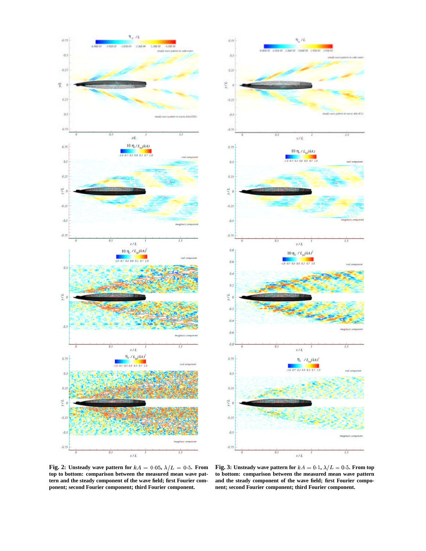



**Fig.** 2: Unsteady wave pattern for  $kA = 0.05$ ,  $\lambda/L = 0.5$ . From **top to bottom: comparison between the measured mean wave pattern and the steady component of the wave field; first Fourier component; second Fourier component; third Fourier component.**

**Fig.** 3: Unsteady wave pattern for  $kA = 0.1$ ,  $\lambda/L = 0.5$ . From top **to bottom: comparison between the measured mean wave pattern and the steady component of the wave field; first Fourier component; second Fourier component; third Fourier component.**